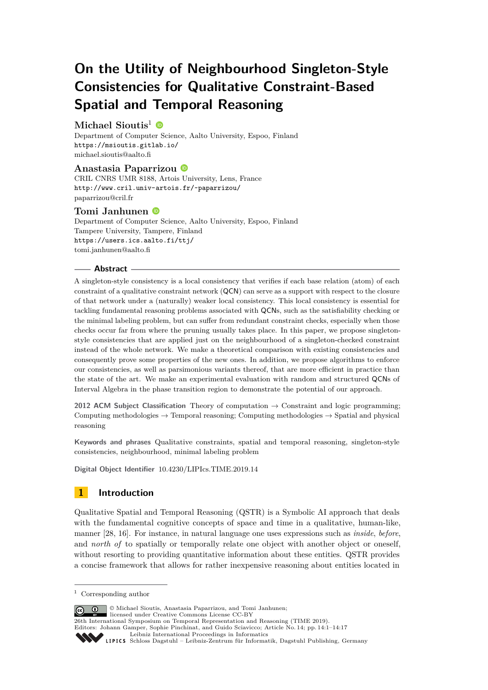# **On the Utility of Neighbourhood Singleton-Style Consistencies for Qualitative Constraint-Based Spatial and Temporal Reasoning**

## **Michael Sioutis**<sup>1</sup>

Department of Computer Science, Aalto University, Espoo, Finland <https://msioutis.gitlab.io/> [michael.sioutis@aalto.fi](mailto:michael.sioutis@aalto.fi)

## **Anastasia Paparrizou**

CRIL CNRS UMR 8188, Artois University, Lens, France <http://www.cril.univ-artois.fr/~paparrizou/> [paparrizou@cril.fr](mailto:paparrizou@cril.fr)

## **Tomi Janhunen**

Department of Computer Science, Aalto University, Espoo, Finland Tampere University, Tampere, Finland <https://users.ics.aalto.fi/ttj/> [tomi.janhunen@aalto.fi](mailto:tomi.janhunen@aalto.fi)

## **Abstract**

A singleton-style consistency is a local consistency that verifies if each base relation (atom) of each constraint of a qualitative constraint network (QCN) can serve as a support with respect to the closure of that network under a (naturally) weaker local consistency. This local consistency is essential for tackling fundamental reasoning problems associated with QCNs, such as the satisfiability checking or the minimal labeling problem, but can suffer from redundant constraint checks, especially when those checks occur far from where the pruning usually takes place. In this paper, we propose singletonstyle consistencies that are applied just on the neighbourhood of a singleton-checked constraint instead of the whole network. We make a theoretical comparison with existing consistencies and consequently prove some properties of the new ones. In addition, we propose algorithms to enforce our consistencies, as well as parsimonious variants thereof, that are more efficient in practice than the state of the art. We make an experimental evaluation with random and structured QCNs of Interval Algebra in the phase transition region to demonstrate the potential of our approach.

**2012 ACM Subject Classification** Theory of computation  $\rightarrow$  Constraint and logic programming; Computing methodologies  $\rightarrow$  Temporal reasoning; Computing methodologies  $\rightarrow$  Spatial and physical reasoning

**Keywords and phrases** Qualitative constraints, spatial and temporal reasoning, singleton-style consistencies, neighbourhood, minimal labeling problem

**Digital Object Identifier** [10.4230/LIPIcs.TIME.2019.14](https://doi.org/10.4230/LIPIcs.TIME.2019.14)

## **1 Introduction**

Qualitative Spatial and Temporal Reasoning (QSTR) is a Symbolic AI approach that deals with the fundamental cognitive concepts of space and time in a qualitative, human-like, manner [\[28,](#page-16-0) [16\]](#page-15-0). For instance, in natural language one uses expressions such as *inside*, *before*, and *north of* to spatially or temporally relate one object with another object or oneself, without resorting to providing quantitative information about these entities. QSTR provides a concise framework that allows for rather inexpensive reasoning about entities located in

© Michael Sioutis, Anastasia Paparrizou, and Tomi Janhunen;  $\circ$   $\circ$ 

licensed under Creative Commons License CC-BY

26th International Symposium on Temporal Representation and Reasoning (TIME 2019). Editors: Johann Gamper, Sophie Pinchinat, and Guido Sciavicco; Article No. 14; pp. 14:1–14[:17](#page-16-1)

<sup>1</sup> Corresponding author

[Leibniz International Proceedings in Informatics](https://www.dagstuhl.de/lipics/)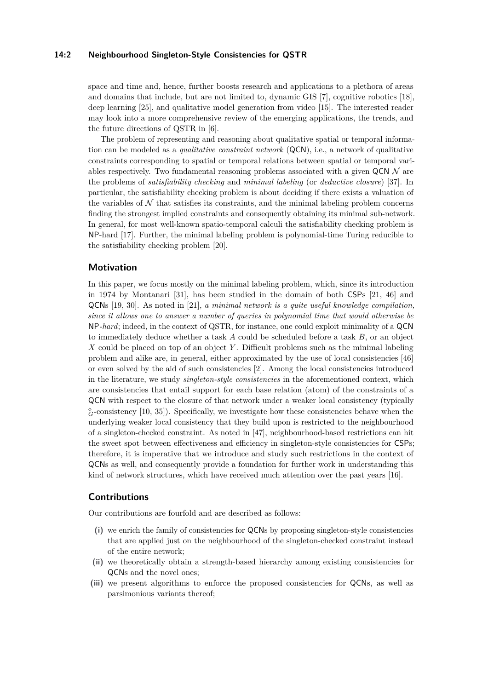#### **14:2 Neighbourhood Singleton-Style Consistencies for QSTR**

space and time and, hence, further boosts research and applications to a plethora of areas and domains that include, but are not limited to, dynamic GIS [\[7\]](#page-15-1), cognitive robotics [\[18\]](#page-15-2), deep learning [\[25\]](#page-16-2), and qualitative model generation from video [\[15\]](#page-15-3). The interested reader may look into a more comprehensive review of the emerging applications, the trends, and the future directions of QSTR in [\[6\]](#page-15-4).

The problem of representing and reasoning about qualitative spatial or temporal information can be modeled as a *qualitative constraint network* (QCN), i.e., a network of qualitative constraints corresponding to spatial or temporal relations between spatial or temporal variables respectively. Two fundamental reasoning problems associated with a given  $QCN\mathcal{N}$  are the problems of *satisfiability checking* and *minimal labeling* (or *deductive closure*) [\[37\]](#page-16-3). In particular, the satisfiability checking problem is about deciding if there exists a valuation of the variables of  $N$  that satisfies its constraints, and the minimal labeling problem concerns finding the strongest implied constraints and consequently obtaining its minimal sub-network. In general, for most well-known spatio-temporal calculi the satisfiability checking problem is NP-hard [\[17\]](#page-15-5). Further, the minimal labeling problem is polynomial-time Turing reducible to the satisfiability checking problem [\[20\]](#page-15-6).

## **Motivation**

In this paper, we focus mostly on the minimal labeling problem, which, since its introduction in 1974 by Montanari [\[31\]](#page-16-4), has been studied in the domain of both CSPs [\[21,](#page-15-7) [46\]](#page-16-5) and QCNs [\[19,](#page-15-8) [30\]](#page-16-6). As noted in [\[21\]](#page-15-7), *a minimal network is a quite useful knowledge compilation, since it allows one to answer a number of queries in polynomial time that would otherwise be* NP*-hard*; indeed, in the context of QSTR, for instance, one could exploit minimality of a QCN to immediately deduce whether a task *A* could be scheduled before a task *B*, or an object *X* could be placed on top of an object *Y* . Difficult problems such as the minimal labeling problem and alike are, in general, either approximated by the use of local consistencies [\[46\]](#page-16-5) or even solved by the aid of such consistencies [\[2\]](#page-15-9). Among the local consistencies introduced in the literature, we study *singleton-style consistencies* in the aforementioned context, which are consistencies that entail support for each base relation (atom) of the constraints of a QCN with respect to the closure of that network under a weaker local consistency (typically  $^{\diamond}_{G}$ -consistency [\[10,](#page-15-10) [35\]](#page-16-7)). Specifically, we investigate how these consistencies behave when the underlying weaker local consistency that they build upon is restricted to the neighbourhood of a singleton-checked constraint. As noted in [\[47\]](#page-16-8), neighbourhood-based restrictions can hit the sweet spot between effectiveness and efficiency in singleton-style consistencies for CSPs; therefore, it is imperative that we introduce and study such restrictions in the context of QCNs as well, and consequently provide a foundation for further work in understanding this kind of network structures, which have received much attention over the past years [\[16\]](#page-15-0).

## **Contributions**

Our contributions are fourfold and are described as follows:

- **(i)** we enrich the family of consistencies for QCNs by proposing singleton-style consistencies that are applied just on the neighbourhood of the singleton-checked constraint instead of the entire network;
- **(ii)** we theoretically obtain a strength-based hierarchy among existing consistencies for QCNs and the novel ones;
- **(iii)** we present algorithms to enforce the proposed consistencies for QCNs, as well as parsimonious variants thereof;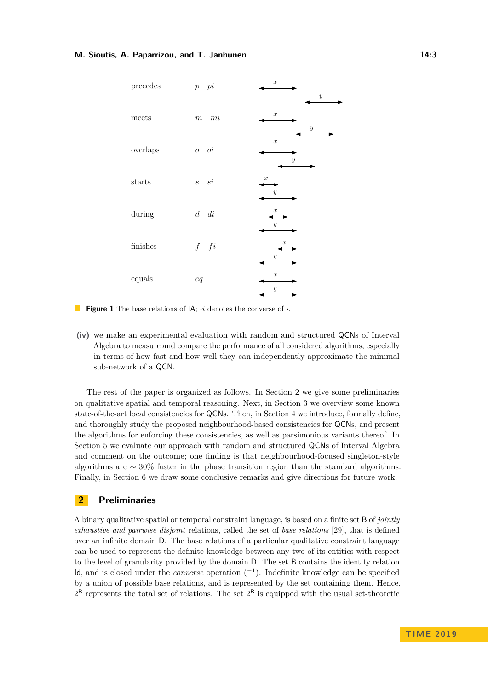<span id="page-2-1"></span>

**Figure 1** The base relations of IA; **·***i* denotes the converse of **·**.

**(iv)** we make an experimental evaluation with random and structured QCNs of Interval Algebra to measure and compare the performance of all considered algorithms, especially in terms of how fast and how well they can independently approximate the minimal sub-network of a QCN.

The rest of the paper is organized as follows. In Section [2](#page-2-0) we give some preliminaries on qualitative spatial and temporal reasoning. Next, in Section [3](#page-4-0) we overview some known state-of-the-art local consistencies for QCNs. Then, in Section [4](#page-5-0) we introduce, formally define, and thoroughly study the proposed neighbourhood-based consistencies for QCNs, and present the algorithms for enforcing these consistencies, as well as parsimonious variants thereof. In Section [5](#page-10-0) we evaluate our approach with random and structured QCNs of Interval Algebra and comment on the outcome; one finding is that neighbourhood-focused singleton-style algorithms are  $\sim$  30% faster in the phase transition region than the standard algorithms. Finally, in Section [6](#page-14-0) we draw some conclusive remarks and give directions for future work.

## <span id="page-2-0"></span>**2 Preliminaries**

A binary qualitative spatial or temporal constraint language, is based on a finite set B of *jointly exhaustive and pairwise disjoint* relations, called the set of *base relations* [\[29\]](#page-16-9), that is defined over an infinite domain D. The base relations of a particular qualitative constraint language can be used to represent the definite knowledge between any two of its entities with respect to the level of granularity provided by the domain D. The set B contains the identity relation Id, and is closed under the *converse* operation (<sup>−</sup><sup>1</sup> ). Indefinite knowledge can be specified by a union of possible base relations, and is represented by the set containing them. Hence,  $2^B$  represents the total set of relations. The set  $2^B$  is equipped with the usual set-theoretic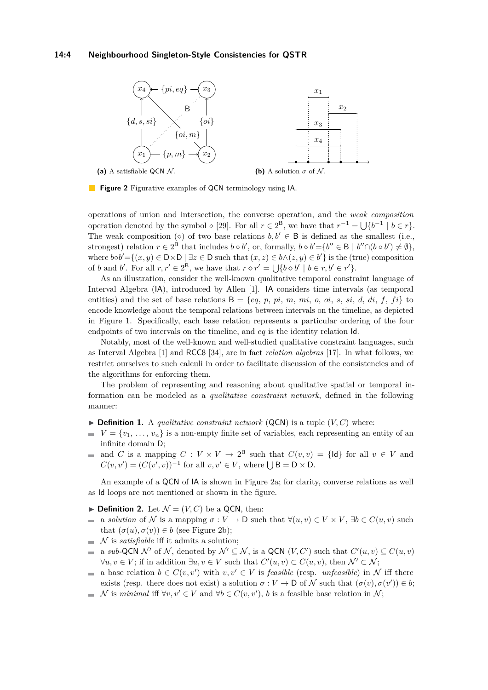#### **14:4 Neighbourhood Singleton-Style Consistencies for QSTR**

<span id="page-3-0"></span>

**Figure 2** Figurative examples of QCN terminology using IA.

operations of union and intersection, the converse operation, and the *weak composition* operation denoted by the symbol  $\diamond$  [\[29\]](#page-16-9). For all  $r \in 2^B$ , we have that  $r^{-1} = \bigcup \{b^{-1} \mid b \in r\}.$ The weak composition ( $\diamond$ ) of two base relations  $b, b' \in B$  is defined as the smallest (i.e., strongest) relation  $r \in 2^B$  that includes  $b \circ b'$ , or, formally,  $b \circ b' = \{b'' \in B \mid b'' \cap (b \circ b') \neq \emptyset\}$ , where  $bb' = \{(x, y) \in D \times D \mid \exists z \in D \text{ such that } (x, z) \in b \land (z, y) \in b'\}$  is the (true) composition of *b* and *b'*. For all  $r, r' \in 2^B$ , we have that  $r \circ r' = \bigcup \{b \circ b' \mid b \in r, b' \in r'\}.$ 

As an illustration, consider the well-known qualitative temporal constraint language of Interval Algebra (IA), introduced by Allen [\[1\]](#page-15-11). IA considers time intervals (as temporal entities) and the set of base relations  $B = \{eq, p, pi, m, mi, o,oi, s, si, d, di, f, fi\}$  to encode knowledge about the temporal relations between intervals on the timeline, as depicted in Figure [1.](#page-2-1) Specifically, each base relation represents a particular ordering of the four endpoints of two intervals on the timeline, and *eq* is the identity relation Id.

Notably, most of the well-known and well-studied qualitative constraint languages, such as Interval Algebra [\[1\]](#page-15-11) and RCC8 [\[34\]](#page-16-10), are in fact *relation algebras* [\[17\]](#page-15-5). In what follows, we restrict ourselves to such calculi in order to facilitate discussion of the consistencies and of the algorithms for enforcing them.

The problem of representing and reasoning about qualitative spatial or temporal information can be modeled as a *qualitative constraint network*, defined in the following manner:

- $\triangleright$  **Definition 1.** A *qualitative constraint network* (QCN) is a tuple  $(V, C)$  where:
- $V = \{v_1, \ldots, v_n\}$  is a non-empty finite set of variables, each representing an entity of an  $\blacksquare$ infinite domain D;
- and *C* is a mapping  $C: V \times V \to 2^B$  such that  $C(v, v) = \{d\}$  for all  $v \in V$  and  $\sim$  $C(v, v') = (C(v', v))^{-1}$  for all  $v, v' \in V$ , where  $\bigcup B = D \times D$ .

An example of a QCN of IA is shown in Figure [2a;](#page-3-0) for clarity, converse relations as well as Id loops are not mentioned or shown in the figure.

- $\blacktriangleright$  **Definition 2.** Let  $\mathcal{N} = (V, C)$  be a QCN, then:
- a *solution* of  $N$  is a mapping  $\sigma: V \to \mathsf{D}$  such that  $\forall (u, v) \in V \times V$ ,  $\exists b \in C(u, v)$  such  $\blacksquare$ that  $(\sigma(u), \sigma(v)) \in b$  (see Figure [2b\)](#page-3-0);
- N is *satisfiable* iff it admits a solution;  $\mathcal{L}_{\mathcal{A}}$
- a *sub*-QCN N' of N, denoted by  $\mathcal{N}' \subseteq \mathcal{N}$ , is a QCN  $(V, C')$  such that  $C'(u, v) \subseteq C(u, v)$  $\overline{a}$  $\forall u, v \in V$ ; if in addition  $\exists u, v \in V$  such that  $C'(u, v) \subset C(u, v)$ , then  $\mathcal{N}' \subset \mathcal{N}$ ;
- a base relation  $b \in C(v, v')$  with  $v, v' \in V$  is *feasible* (resp. *unfeasible*) in N iff there exists (resp. there does not exist) a solution  $\sigma: V \to \mathsf{D}$  of N such that  $(\sigma(v), \sigma(v')) \in b$ ;
- N is *minimal* iff  $\forall v, v' \in V$  and  $\forall b \in C(v, v'), b$  is a feasible base relation in N;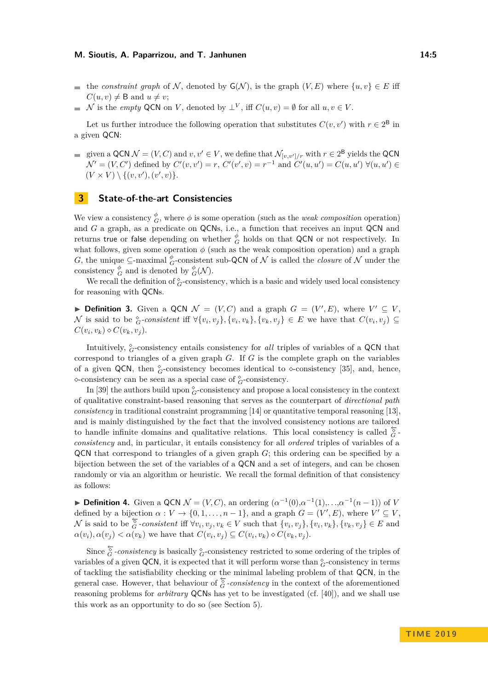- **■** the *constraint graph* of N, denoted by  $G(N)$ , is the graph  $(V, E)$  where  $\{u, v\} \in E$  iff  $C(u, v) \neq B$  and  $u \neq v$ ;
- N is the *empty* QCN on V, denoted by  $\perp^V$ , iff  $C(u, v) = \emptyset$  for all  $u, v \in V$ .

Let us further introduce the following operation that substitutes  $C(v, v')$  with  $r \in 2^B$  in a given QCN:

given a QCN  $\mathcal{N} = (V, C)$  and  $v, v' \in V$ , we define that  $\mathcal{N}_{[v, v']/r}$  with  $r \in 2^{\mathsf{B}}$  yields the QCN  $\mathcal{N}' = (V, C')$  defined by  $C'(v, v') = r$ ,  $C'(v', v) = r^{-1}$  and  $C'(u, u') = C(u, u') \ \forall (u, u') \in$  $(V \times V) \setminus \{(v, v'), (v', v)\}.$ 

## <span id="page-4-0"></span>**3 State-of-the-art Consistencies**

We view a consistency  $\overset{\phi}{G}$ , where  $\phi$  is some operation (such as the *weak composition* operation) and *G* a graph, as a predicate on QCNs, i.e., a function that receives an input QCN and returns true or false depending on whether  $^{\phi}_{G}$  holds on that QCN or not respectively. In what follows, given some operation  $\phi$  (such as the weak composition operation) and a graph *G*, the unique  $\subseteq$ -maximal  $^{\phi}_{G}$ -consistent sub-QCN of N is called the *closure* of N under the consistency  $_{G}^{\phi}$  and is denoted by  $_{G}^{\phi}(\mathcal{N})$ .

We recall the definition of  $^{\circ}_{G}$ -consistency, which is a basic and widely used local consistency for reasoning with QCNs.

▶ **Definition 3.** Given a QCN  $\mathcal{N} = (V, C)$  and a graph  $G = (V', E)$ , where  $V' \subseteq V$ , N is said to be  ${}_{G}^{\diamond}$ -consistent iff  $\forall \{v_i, v_j\}, \{v_i, v_k\}, \{v_k, v_j\} \in E$  we have that  $C(v_i, v_j) \subseteq$  $C(v_i, v_k) \diamond C(v_k, v_j).$ 

Intuitively, *<sup>G</sup>*-consistency entails consistency for *all* triples of variables of a QCN that correspond to triangles of a given graph *G*. If *G* is the complete graph on the variables of a given QCN, then  $^{\circ}_{G}$ -consistency becomes identical to  $\infty$ -consistency [\[35\]](#page-16-7), and, hence,  $\diamond$ -consistency can be seen as a special case of  $^{\diamond}_{G}$ -consistency.

In [\[39\]](#page-16-11) the authors build upon  $^{\diamond}_{G}$ -consistency and propose a local consistency in the context of qualitative constraint-based reasoning that serves as the counterpart of *directional path consistency* in traditional constraint programming [\[14\]](#page-15-12) or quantitative temporal reasoning [\[13\]](#page-15-13). and is mainly distinguished by the fact that the involved consistency notions are tailored to handle infinite domains and qualitative relations. This local consistency is called  $\frac{\epsilon}{G}$ *consistency* and, in particular, it entails consistency for all *ordered* triples of variables of a QCN that correspond to triangles of a given graph *G*; this ordering can be specified by a bijection between the set of the variables of a QCN and a set of integers, and can be chosen randomly or via an algorithm or heuristic. We recall the formal definition of that consistency as follows:

**► Definition 4.** Given a QCN  $\mathcal{N} = (V, C)$ , an ordering  $(\alpha^{-1}(0), \alpha^{-1}(1), \ldots, \alpha^{-1}(n-1))$  of *V* defined by a bijection  $\alpha : V \to \{0, 1, \ldots, n-1\}$ , and a graph  $G = (V', E)$ , where  $V' \subseteq V$ , N is said to be  $\overleftarrow{S}$ -consistent iff  $\forall v_i, v_j, v_k \in V$  such that  $\{v_i, v_j\}$ ,  $\{v_i, v_k\}$ ,  $\{v_k, v_j\} \in E$  and  $\alpha(v_i), \alpha(v_j) < \alpha(v_k)$  we have that  $C(v_i, v_j) \subseteq C(v_i, v_k) \diamond C(v_k, v_j)$ .

Since  $\sum_{\alpha}^{\infty}$ *-consistency* is basically  $\sum_{\alpha}^{\infty}$ -consistency restricted to some ordering of the triples of variables of a given QCN, it is expected that it will perform worse than  $^{\circ}_{G}$ -consistency in terms of tackling the satisfiability checking or the minimal labeling problem of that QCN, in the general case. However, that behaviour of  $\overleftarrow{G}$ *-consistency* in the context of the aforementioned reasoning problems for *arbitrary* QCNs has yet to be investigated (cf. [\[40\]](#page-16-12)), and we shall use this work as an opportunity to do so (see Section [5\)](#page-10-0).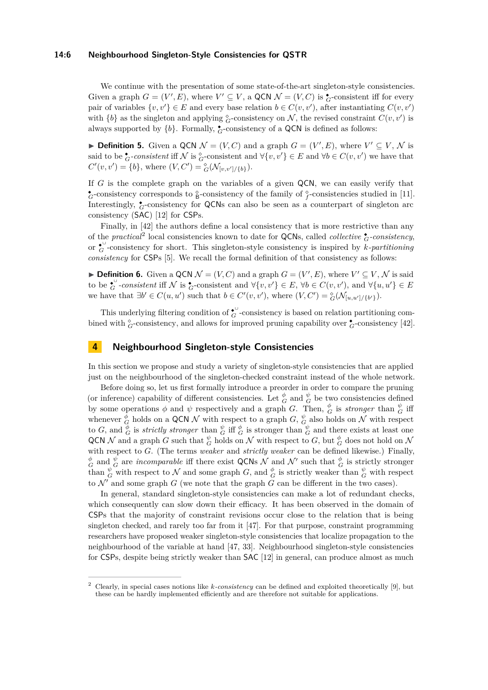#### **14:6 Neighbourhood Singleton-Style Consistencies for QSTR**

We continue with the presentation of some state-of-the-art singleton-style consistencies. Given a graph  $G = (V', E)$ , where  $V' \subseteq V$ , a QCN  $\mathcal{N} = (V, C)$  is  $\mathcal{L}$ -consistent iff for every pair of variables  $\{v, v'\} \in E$  and every base relation  $b \in C(v, v')$ , after instantiating  $C(v, v')$ with  ${b}$  as the singleton and applying  ${}_{G}^{\circ}$ -consistency on  $\mathcal{N}$ , the revised constraint  $C(v, v')$  is always supported by  ${b}$ . Formally,  $\bullet$ -consistency of a QCN is defined as follows:

<span id="page-5-2"></span>▶ **Definition 5.** Given a QCN  $\mathcal{N} = (V, C)$  and a graph  $G = (V', E)$ , where  $V' \subseteq V, \mathcal{N}$  is said to be  $\zeta$ -consistent iff N is  $\zeta$ -consistent and  $\forall \{v, v'\} \in E$  and  $\forall b \in C(v, v')$  we have that  $C'(v, v') = \{b\}$ , where  $(V, C') = {}^{\diamond}_{G}(\mathcal{N}_{[v, v'] / \{b\}})$ .

If *G* is the complete graph on the variables of a given QCN, we can easily verify that  $\bullet$  consistency corresponds to  $\circ$  consistency of the family of  $\circ$  consistencies studied in [\[11\]](#page-15-14). Interestingly, <sup>◆</sup><sub>*G*</sub>-consistency for QCNs can also be seen as a counterpart of singleton arc consistency (SAC) [\[12\]](#page-15-15) for CSPs.

Finally, in [\[42\]](#page-16-13) the authors define a local consistency that is more restrictive than any of the *practical*<sup>[2](#page-5-1)</sup> local consistencies known to date for QCNs, called *collective*  $\frac{1}{G}$ *-consistency*, or  $\overset{\bullet}{G}$ -consistency for short. This singleton-style consistency is inspired by *k*-partitioning *consistency* for CSPs [\[5\]](#page-15-16). We recall the formal definition of that consistency as follows:

<span id="page-5-3"></span>**Definition 6.** Given a QCN  $\mathcal{N} = (V, C)$  and a graph  $G = (V', E)$ , where  $V' \subseteq V, \mathcal{N}$  is said to be  $\overset{\bullet}{G}$ -consistent iff N is  $\overset{\bullet}{G}$ -consistent and  $\forall \{v, v'\} \in E$ ,  $\forall b \in C(v, v')$ , and  $\forall \{u, u'\} \in E$ we have that  $\exists b' \in C(u, u')$  such that  $b \in C'(v, v')$ , where  $(V, C') = \frac{\delta}{G}(\mathcal{N}_{[u, u'] / \{b'\}})$ .

This underlying filtering condition of  $\mathfrak{c}^{\cup}$ -consistency is based on relation partitioning combined with  $^{\circ}_{G}$ -consistency, and allows for improved pruning capability over  $^{\bullet}_{G}$ -consistency [\[42\]](#page-16-13).

## <span id="page-5-0"></span>**4 Neighbourhood Singleton-style Consistencies**

In this section we propose and study a variety of singleton-style consistencies that are applied just on the neighbourhood of the singleton-checked constraint instead of the whole network.

Before doing so, let us first formally introduce a preorder in order to compare the pruning (or inference) capability of different consistencies. Let  $^{\phi}_{G}$  and  $^{\psi}_{G}$  be two consistencies defined by some operations  $\phi$  and  $\psi$  respectively and a graph *G*. Then,  $\phi_G$  is *stronger* than  $\phi_G$  iff whenever  $\phi_G^{\phi}$  holds on a QCN N with respect to a graph  $G, \phi_G^{\psi}$  also holds on N with respect to *G*, and  $\frac{\phi}{G}$  is *strictly stronger* than  $\frac{\psi}{G}$  iff  $\frac{\phi}{G}$  is stronger than  $\frac{\psi}{G}$  and there exists at least one QCN  $\mathcal N$  and a graph *G* such that  $\frac{\psi}{G}$  holds on  $\mathcal N$  with respect to *G*, but  $\frac{\phi}{G}$  does not hold on  $\mathcal N$ with respect to *G*. (The terms *weaker* and *strictly weaker* can be defined likewise.) Finally,  $\frac{\phi}{G}$  and  $\frac{\psi}{G}$  are *incomparable* iff there exist QCNs N and N' such that  $\frac{\phi}{G}$  is strictly stronger than  $\frac{\psi}{G}$  with respect to N and some graph G, and  $\frac{\phi}{G}$  is strictly weaker than  $\frac{\psi}{G}$  with respect to  $\mathcal{N}'$  and some graph *G* (we note that the graph *G* can be different in the two cases).

In general, standard singleton-style consistencies can make a lot of redundant checks, which consequently can slow down their efficacy. It has been observed in the domain of CSPs that the majority of constraint revisions occur close to the relation that is being singleton checked, and rarely too far from it [\[47\]](#page-16-8). For that purpose, constraint programming researchers have proposed weaker singleton-style consistencies that localize propagation to the neighbourhood of the variable at hand [\[47,](#page-16-8) [33\]](#page-16-14). Neighbourhood singleton-style consistencies for CSPs, despite being strictly weaker than SAC [\[12\]](#page-15-15) in general, can produce almost as much

<span id="page-5-1"></span><sup>2</sup> Clearly, in special cases notions like *k-consistency* can be defined and exploited theoretically [\[9\]](#page-15-17), but these can be hardly implemented efficiently and are therefore not suitable for applications.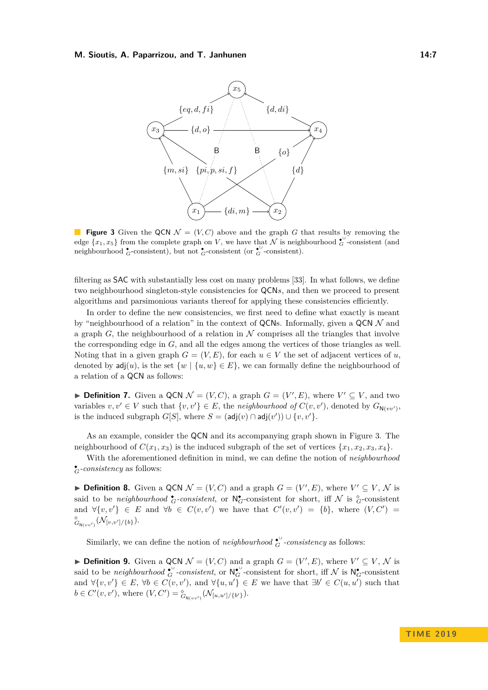<span id="page-6-0"></span>

**Figure 3** Given the QCN  $\mathcal{N} = (V, C)$  above and the graph G that results by removing the edge  $\{x_1, x_5\}$  from the complete graph on *V*, we have that  $\mathcal N$  is neighbourhood  $\mathcal C$ -consistent (and neighbourhood  $\zeta$ -consistent), but not  $\zeta$ -consistent (or  $\zeta$ <sup>-</sup>consistent).

filtering as SAC with substantially less cost on many problems [\[33\]](#page-16-14). In what follows, we define two neighbourhood singleton-style consistencies for QCN*s*, and then we proceed to present algorithms and parsimonious variants thereof for applying these consistencies efficiently.

In order to define the new consistencies, we first need to define what exactly is meant by "neighbourhood of a relation" in the context of QCNs. Informally, given a QCN  $\mathcal N$  and a graph  $G$ , the neighbourhood of a relation in  $\mathcal N$  comprises all the triangles that involve the corresponding edge in *G*, and all the edges among the vertices of those triangles as well. Noting that in a given graph  $G = (V, E)$ , for each  $u \in V$  the set of adjacent vertices of *u*, denoted by  $\text{adj}(u)$ , is the set  $\{w \mid \{u, w\} \in E\}$ , we can formally define the neighbourhood of a relation of a QCN as follows:

▶ **Definition 7.** Given a QCN  $\mathcal{N} = (V, C)$ , a graph  $G = (V', E)$ , where  $V' \subseteq V$ , and two variables  $v, v' \in V$  such that  $\{v, v'\} \in E$ , the *neighbourhood of*  $C(v, v')$ , denoted by  $G_{N(vv')}$ , is the induced subgraph  $G[S]$ , where  $S = (adj(v) \cap adj(v')) \cup \{v, v'\}.$ 

As an example, consider the QCN and its accompanying graph shown in Figure [3.](#page-6-0) The neighbourhood of  $C(x_1, x_3)$  is the induced subgraph of the set of vertices  $\{x_1, x_2, x_3, x_4\}$ .

With the aforementioned definition in mind, we can define the notion of *neighbourhood* ◆ *<sup>G</sup>-consistency* as follows:

<span id="page-6-1"></span>▶ **Definition 8.** Given a QCN  $\mathcal{N} = (V, C)$  and a graph  $G = (V', E)$ , where  $V' \subseteq V, \mathcal{N}$  is said to be *neighbourhood*  $\mathbf{\hat{G}}$ -consistent, or  $\mathsf{N}_{G}^{\bullet}$ -consistent for short, iff  $\mathcal{N}$  is  ${}_{G}^{\circ}$ -consistent and  $\forall \{v, v'\} \in E$  and  $\forall b \in C(v, v')$  we have that  $C'(v, v') = \{b\}$ , where  $(V, C')$  ${}^{\diamond}_{G_{N(vv')}}(\mathcal{N}_{[v,v']/\{b\}}).$ 

Similarly, we can define the notion of *neighbourhood*  $\mathbf{c}^{\cup}$  *-consistency* as follows:

<span id="page-6-2"></span>▶ **Definition 9.** Given a QCN  $\mathcal{N} = (V, C)$  and a graph  $G = (V', E)$ , where  $V' \subseteq V, \mathcal{N}$  is said to be *neighbourhood*  $\mathbf{c}_{G}^{\mathbf{U}}$ -consistent, or  $\mathsf{N}_{G}^{\mathbf{U}}$ -consistent for short, iff  $\mathcal{N}$  is  $\mathsf{N}_{G}^{\bullet}$ -consistent and  $\forall \{v, v'\} \in E, \forall b \in C(v, v'), \text{ and } \forall \{u, u'\} \in E \text{ we have that } \exists b' \in C(u, u') \text{ such that }$  $b \in C'(v, v'), \text{ where } (V, C') = \frac{\delta}{G_{N(vv')}}(\mathcal{N}_{[u, u']/{\{b'\}}}).$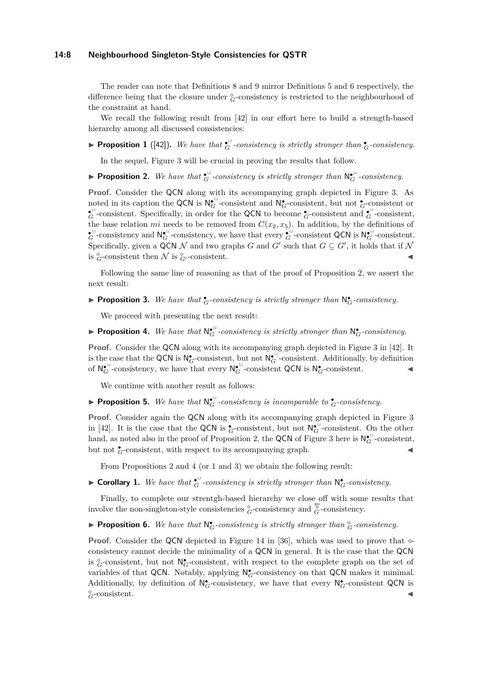#### **14:8 Neighbourhood Singleton-Style Consistencies for QSTR**

The reader can note that Definitions [8](#page-6-1) and [9](#page-6-2) mirror Definitions [5](#page-5-2) and [6](#page-5-3) respectively, the difference being that the closure under  $^{\circ}_{G}$ -consistency is restricted to the neighbourhood of the constraint at hand.

We recall the following result from [\[42\]](#page-16-13) in our effort here to build a strength-based hierarchy among all discussed consistencies:

<span id="page-7-2"></span>**Proposition 1** ([\[42\]](#page-16-13)). We have that  $\mathbf{c}^{\bullet}$  *consistency is strictly stronger than*  $\mathbf{c}$ *<sub><i>G*</sub>-consistency.

In the sequel, Figure [3](#page-6-0) will be crucial in proving the results that follow.

<span id="page-7-0"></span>**Proposition 2.** We have that  $\mathbf{t}_G^{\cup}$ -consistency is strictly stronger than  $\mathbf{N}_G^{\bullet}$ -consistency.

**Proof.** Consider the QCN along with its accompanying graph depicted in Figure [3.](#page-6-0) As noted in its caption the QCN is  $N_G^{\bullet}$ -consistent and  $N_G^{\bullet}$ -consistent, but not  $^{\bullet}$ -consistent or  $\zeta$ <sup>0</sup>-consistent. Specifically, in order for the QCN to become  $\zeta$ -consistent and  $\zeta$ <sup>0</sup>-consistent, the base relation *mi* needs to be removed from  $C(x_2, x_5)$ . In addition, by the definitions of  $\mathcal{L}_G^{\mathcal{L}}$ -consistency and  $\mathsf{N}_{G}^{\bullet\mathcal{L}}$ -consistency, we have that every  $\mathcal{L}_G^{\bullet\mathcal{L}}$ -consistent QCN is  $\mathsf{N}_{G}^{\bullet\mathcal{L}}$ -consistent. Specifically, given a QCN N and two graphs G and G' such that  $G \subseteq G'$ , it holds that if N is  ${}^{\diamond}_{G}$ -consistent then  $\mathcal N$  is  ${}^{\diamond}_{G'}$ -consistent.

Following the same line of reasoning as that of the proof of Proposition [2,](#page-7-0) we assert the next result:

<span id="page-7-3"></span>**• Proposition 3.** We have that  $\mathbf{t}_G$ -consistency is strictly stronger than  $\mathbf{N}_G^*$ -consistency.

We proceed with presenting the next result:

<span id="page-7-1"></span>**► Proposition 4.** We have that  $N_G^{\bullet}$ -consistency is strictly stronger than  $N_G^{\bullet}$ -consistency.

**Proof.** Consider the QCN along with its accompanying graph depicted in Figure 3 in [\[42\]](#page-16-13). It is the case that the QCN is  $N_G^{\bullet}$ -consistent, but not  $N_G^{\bullet}$ -consistent. Additionally, by definition of  $N_G^{\bullet}$ -consistency, we have that every  $N_G^{\bullet}$ -consistent QCN is  $N_G^{\bullet}$ -consistent.

We continue with another result as follows:

**• Proposition 5.** We have that  $N_G^{\bullet \cup}$  *consistency is incomparable to*  $\stackrel{\bullet}{G}$ *-consistency.* 

**Proof.** Consider again the QCN along with its accompanying graph depicted in Figure 3 in [\[42\]](#page-16-13). It is the case that the QCN is  $\overset{\bullet}{G}$ -consistent, but not  $\mathsf{N}_{G}^{\bullet\cup}$ -consistent. On the other hand, as noted also in the proof of Proposition [2,](#page-7-0) the QCN of Figure [3](#page-6-0) here is  $N_G^{\bullet \cup}$ -consistent, but not  $\bullet$ <sub>*G*</sub>-consistent, with respect to its accompanying graph.

From Propositions [2](#page-7-0) and [4](#page-7-1) (or [1](#page-7-2) and [3\)](#page-7-3) we obtain the following result:

► Corollary 1. We have that  $\mathbf{t}_G^{\cup}$ -consistency is strictly stronger than  $\mathsf{N}_G^*$ -consistency.

Finally, to complete our strentgh-based hierarchy we close off with some results that involve the non-singleton-style consistencies  $^{\circ}_{G}$ -consistency and  $^{\overleftarrow{\circ}}_{G}$ -consistency.

<span id="page-7-4"></span>**• Proposition 6.** We have that  $N_G^{\bullet}$ -consistency is strictly stronger than  $^{\circ}_G$ -consistency.

**Proof.** Consider the QCN depicted in Figure 14 in [\[36\]](#page-16-15), which was used to prove that  $\circ$ consistency cannot decide the minimality of a QCN in general. It is the case that the QCN is  $^{\circ}_{G}$ -consistent, but not  $N^{\bullet}_{G}$ -consistent, with respect to the complete graph on the set of variables of that QCN. Notably, applying  $\mathsf{N}^\bullet_G$ -consistency on that QCN makes it minimal. Additionally, by definition of  $\mathsf{N}^{\bullet}_{G}$ -consistency, we have that every  $\mathsf{N}^{\bullet}_{G}$ -consistent QCN is  $_{G}^{\diamond}$ -consistent.  $G$ -consistent.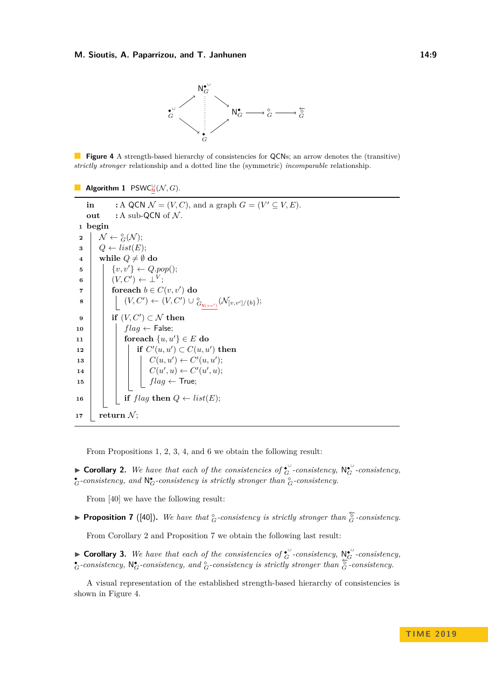

<span id="page-8-2"></span>**Figure 4** A strength-based hierarchy of consistencies for QCNs; an arrow denotes the (transitive) *strictly stronger* relationship and a dotted line the (symmetric) *incomparable* relationship.

```
Algorithm 1 PSWC_N^{\cup}(\mathcal{N}, G).
```

```
in : A QCN \mathcal{N} = (V, C), and a graph G = (V' \subseteq V, E).
     out : A sub-QCN of N.
 1 begin
  \begin{aligned} \mathbf{2} \quad & \big\vert \quad \mathcal{N} \leftarrow \overset{\diamond}{_{G}}(\mathcal{N}); \end{aligned}\bullet Q ← list(E);
 4 \boldsymbol{\mathsf{while}}\ Q\neq\emptyset\ \mathbf{do}5 \{v, v'\} \leftarrow Q.pop();\begin{array}{|c|c|c|c|}\hline \mathbf{6} & & (V,C') \leftarrow \bot^V \ \hline \end{array};
  \mathbf{r} for each b \in C(v, v') do
  8 | | (V, C') ← (V, C') ∪ ^{\circ}_{G_{\mathbf{N}(vv')}}(\mathcal{N}_{[v, v']/\{b\}});\mathbf{9} \vert if (V, C') \subset \mathcal{N} then
10 flag ← False;
11 foreach \{u, u'\} \in E do
\textbf{12} if C'(u, u') \subset C(u, u') then
 13 \vert \cdot \vert \cdot \vert \cdot \vert \cdot C(u, u') \leftarrow C'(u, u');14 \mid \cdot \mid \cdot \mid \cdot \mid C(u',u) \leftarrow C'(u',u);15 fixall f flag \leftarrow True;16 \left| \begin{array}{c} \end{array} \right| if flag then Q \leftarrow list(E);17 return N;
```
From Propositions [1,](#page-7-2) [2,](#page-7-0) [3,](#page-7-3) [4,](#page-7-1) and [6](#page-7-4) we obtain the following result:

<span id="page-8-0"></span>► **Corollary 2.** We have that each of the consistencies of  $\mathbf{e}^{\cup}$  *consistency*,  $\mathbf{N}_{G}^{\bullet}$  *-consistency*,  $\bullet$ *G*-consistency, and  $\mathcal{N}_{G}^{\bullet}$ -consistency is strictly stronger than  ${}^{\diamond}_{G}$ -consistency.

From [\[40\]](#page-16-12) we have the following result:

<span id="page-8-1"></span>**► Proposition 7** ([\[40\]](#page-16-12)). We have that  $^{\circ}_{G}$ -consistency is strictly stronger than  $^{\circ}_{G}$ -consistency.

From Corollary [2](#page-8-0) and Proposition [7](#page-8-1) we obtain the following last result:

► **Corollary 3.** We have that each of the consistencies of  $\mathbf{G}^{\cup}$  *consistency*,  $\mathbb{N}_{G}^{\mathbf{C}}$  *-consistency*, ◆ *<sup>G</sup>-consistency,* N ◆ *<sup>G</sup>-consistency, and <sup>G</sup>-consistency is strictly stronger than* ←− *<sup>G</sup> -consistency.*

A visual representation of the established strength-based hierarchy of consistencies is shown in Figure [4.](#page-8-2)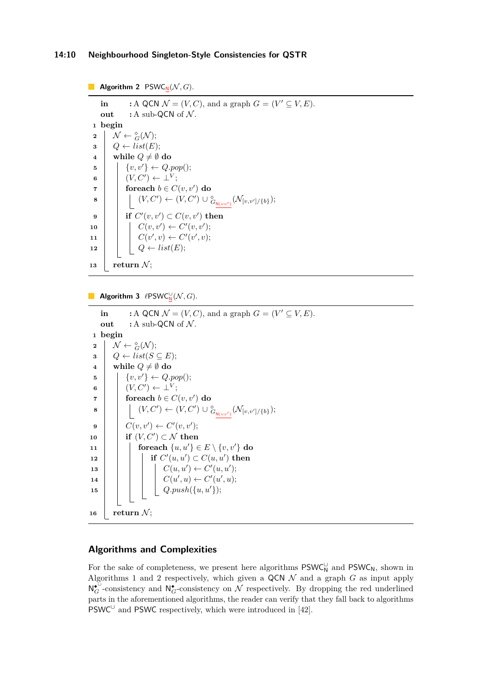## **14:10 Neighbourhood Singleton-Style Consistencies for QSTR**

<span id="page-9-0"></span>**Algorithm 2** PSWC<sub>N</sub> $(N, G)$ . **in** : A QCN  $\mathcal{N} = (V, C)$ , and a graph  $G = (V' \subseteq V, E)$ . **out** : A sub-QCN of  $N$ . **1 begin**  $\begin{aligned} \mathbf{2} \quad &\Big\vert \quad \mathcal{N} \leftarrow \overset{\diamond}{_{G}}(\mathcal{N}); \end{aligned}$  $\bullet$  **3**  $\downarrow$  **Q**  $\leftarrow$  *list***(***E***); 4 while**  $Q \neq \emptyset$  do **5**  $\{v, v'\} \leftarrow Q.pop();$  $\begin{array}{ccc} \mathbf{6} & | & | & (V, C') \leftarrow \perp^V; \end{array}$  $\mathbf{z} \quad | \quad \mathbf{z} \quad | \quad \mathbf{z} \quad \mathbf{z} \in C(v, v') \textbf{d}\mathbf{z}$ **8**  $|$   $|$   $(V, C')$  ←  $(V, C')$  ∪  $^{\circ}_{G_{\mathsf{N}(vv')}}(\mathcal{N}_{[v, v']/{b}});$  $\mathbf{9}$  | **if**  $C'(v, v') \subset C(v, v')$  then  $10$   $\vert \cdot \vert \cdot C(v, v') \leftarrow C'(v, v');$  $11 \mid C(v', v) \leftarrow C'(v', v);$  $\boxed{\mathbf{12}}$   $\boxed{\phantom{0}}$   $\boxed{\phantom{0}}$   $\boxed{\phantom{0}}$   $\phantom{0}\phantom{0}$   $\phantom{0}\phantom{0}$   $\phantom{0}\phantom{0}$   $\phantom{0}\phantom{0}$   $\phantom{0}\phantom{0}$   $\phantom{0}\phantom{0}$   $\phantom{0}\phantom{0}$  $\mathbf{13}$  **return** N;

**Algorithm 3**  $\ell$ PSWC $_{\mathsf{N}}^{\cup}(\mathcal{N}, G)$ .

```
in : A QCN \mathcal{N} = (V, C), and a graph G = (V' \subseteq V, E).
    out : A sub-QCN of N.
 1 begin
  \begin{aligned} \mathbf{2} \quad &\Big\vert \quad \mathcal{N} \leftarrow \overset{\diamond}{_{G}}(\mathcal{N}); \end{aligned}\mathbf{3} \mid Q \leftarrow list(S \subseteq E);4 while Q \neq \emptyset do
 5 \left\{ v, v' \right\} \leftarrow Q.pop();\bullet (V, C') \leftarrow \bot^V;\mathbf{r} for each b \in C(v, v') do
  8 \vert \vert \vert (V, C') ← (V, C') ∪ ^{\diamond}_{G_{\mathsf{N}(vv')}}(\mathcal{N}_{[v, v']/{b}});\mathbf{9} | C(v, v') \leftarrow C'(v, v');\mathbf{10} if (V, C') \subset \mathcal{N} then
11 foreach \{u, u'\} \in E \setminus \{v, v'\} do
 \textbf{12} if C'(u, u') \subset C(u, u') then
 13 \vert \vert \vert \vert \vert \vert C(u, u') \leftarrow C'(u, u');14 \mid \cdot \mid \cdot \mid \cdot \mid C(u',u) \leftarrow C'(u',u);15 Q.push({u, u0});
16 return \mathcal{N};
```
## **Algorithms and Complexities**

For the sake of completeness, we present here algorithms  $\mathsf{PSWC}_N^\cup$  and  $\mathsf{PSWC}_N$ , shown in Algorithms [1](#page-8-3) and [2](#page-9-0) respectively, which given a QCN  $\mathcal N$  and a graph  $G$  as input apply  $N_G^{\bullet}$ -consistency and  $N_G^{\bullet}$ -consistency on  $\mathcal N$  respectively. By dropping the red underlined parts in the aforementioned algorithms, the reader can verify that they fall back to algorithms PSWC<sup>∪</sup> and PSWC respectively, which were introduced in [\[42\]](#page-16-13).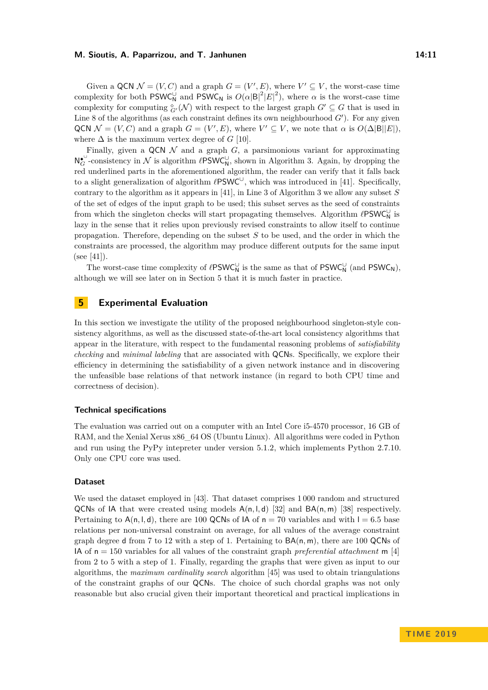Given a QCN  $\mathcal{N} = (V, C)$  and a graph  $G = (V', E)$ , where  $V' \subseteq V$ , the worst-case time complexity for both  $PSWC_N$  and  $PSWC_N$  is  $O(\alpha |B|^2 |E|^2)$ , where  $\alpha$  is the worst-case time complexity for computing  ${}_{G'}^{\diamond}(\mathcal{N})$  with respect to the largest graph  $G' \subseteq G$  that is used in Line 8 of the algorithms (as each constraint defines its own neighbourhood  $G'$ ). For any given QCN  $\mathcal{N} = (V, C)$  and a graph  $G = (V', E)$ , where  $V' \subseteq V$ , we note that  $\alpha$  is  $O(\Delta |B||E|)$ , where  $\Delta$  is the maximum vertex degree of *G* [\[10\]](#page-15-10).

Finally, given a QCN  $\mathcal N$  and a graph  $G$ , a parsimonious variant for approximating  $N_G^{\bullet \cup}$ -consistency in N is algorithm  $\ell$ PSWC<sub>N</sub>, shown in Algorithm [3.](#page-9-1) Again, by dropping the red underlined parts in the aforementioned algorithm, the reader can verify that it falls back to a slight generalization of algorithm  $\ell$ PSWC<sup>∪</sup>, which was introduced in [\[41\]](#page-16-16). Specifically, contrary to the algorithm as it appears in [\[41\]](#page-16-16), in Line 3 of Algorithm [3](#page-9-1) we allow any subset *S* of the set of edges of the input graph to be used; this subset serves as the seed of constraints from which the singleton checks will start propagating themselves. Algorithm  $\ell\mathsf{PSWC}_\mathsf{N}^\cup$  is lazy in the sense that it relies upon previously revised constraints to allow itself to continue propagation. Therefore, depending on the subset *S* to be used, and the order in which the constraints are processed, the algorithm may produce different outputs for the same input  $(see [41]).$  $(see [41]).$  $(see [41]).$ 

The worst-case time complexity of  $\ell$ PSWC<sub>N</sub><sup>U</sup> is the same as that of PSWC<sub>N</sub><sup>U</sup> (and PSWC<sub>N</sub>), although we will see later on in Section [5](#page-10-0) that it is much faster in practice.

## <span id="page-10-0"></span>**5 Experimental Evaluation**

In this section we investigate the utility of the proposed neighbourhood singleton-style consistency algorithms, as well as the discussed state-of-the-art local consistency algorithms that appear in the literature, with respect to the fundamental reasoning problems of *satisfiability checking* and *minimal labeling* that are associated with QCNs. Specifically, we explore their efficiency in determining the satisfiability of a given network instance and in discovering the unfeasible base relations of that network instance (in regard to both CPU time and correctness of decision).

#### **Technical specifications**

The evaluation was carried out on a computer with an Intel Core i5-4570 processor, 16 GB of RAM, and the Xenial Xerus x86\_64 OS (Ubuntu Linux). All algorithms were coded in Python and run using the PyPy intepreter under version 5.1.2, which implements Python 2.7.10. Only one CPU core was used.

#### **Dataset**

We used the dataset employed in [\[43\]](#page-16-17). That dataset comprises 1 000 random and structured QCNs of IA that were created using models  $A(n, l, d)$  [\[32\]](#page-16-18) and  $BA(n, m)$  [\[38\]](#page-16-19) respectively. Pertaining to  $A(n, l, d)$ , there are 100 QCNs of  $A$  of  $n = 70$  variables and with  $l = 6.5$  base relations per non-universal constraint on average, for all values of the average constraint graph degree d from 7 to 12 with a step of 1. Pertaining to BA(n*,* m), there are 100 QCNs of IA of n = 150 variables for all values of the constraint graph *preferential attachment* m [\[4\]](#page-15-18) from 2 to 5 with a step of 1. Finally, regarding the graphs that were given as input to our algorithms, the *maximum cardinality search* algorithm [\[45\]](#page-16-20) was used to obtain triangulations of the constraint graphs of our QCNs. The choice of such chordal graphs was not only reasonable but also crucial given their important theoretical and practical implications in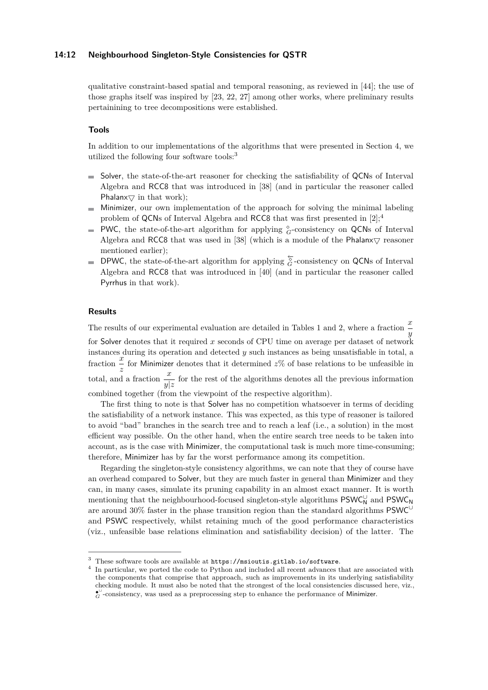#### **14:12 Neighbourhood Singleton-Style Consistencies for QSTR**

qualitative constraint-based spatial and temporal reasoning, as reviewed in [\[44\]](#page-16-21); the use of those graphs itself was inspired by [\[23,](#page-15-19) [22,](#page-15-20) [27\]](#page-16-22) among other works, where preliminary results pertainining to tree decompositions were established.

#### **Tools**

In addition to our implementations of the algorithms that were presented in Section [4,](#page-5-0) we utilized the following four software tools:[3](#page-11-0)

- $\blacksquare$  Solver, the state-of-the-art reasoner for checking the satisfiability of QCNs of Interval Algebra and RCC8 that was introduced in [\[38\]](#page-16-19) (and in particular the reasoner called Phalanx $\bigtriangledown$  in that work);
- $\blacksquare$  Minimizer, our own implementation of the approach for solving the minimal labeling problem of QCNs of Interval Algebra and RCC8 that was first presented in  $[2];^4$  $[2];^4$  $[2];^4$
- PWC, the state-of-the-art algorithm for applying  $^{\circ}_{G}$ -consistency on QCNs of Interval Algebra and RCC8 that was used in [\[38\]](#page-16-19) (which is a module of the Phalanx $\bigtriangledown$  reasoner mentioned earlier);
- DPWC, the state-of-the-art algorithm for applying  $\overleftarrow{G}$ -consistency on QCNs of Interval Algebra and RCC8 that was introduced in [\[40\]](#page-16-12) (and in particular the reasoner called Pyrrhus in that work).

#### **Results**

The results of our experimental evaluation are detailed in Tables [1](#page-12-0) and [2,](#page-13-0) where a fraction  $\frac{x}{y}$ for Solver denotes that it required *x* seconds of CPU time on average per dataset of network instances during its operation and detected *y* such instances as being unsatisfiable in total, a fraction  $\frac{x}{z}$  for Minimizer denotes that it determined  $z$ % of base relations to be unfeasible in total, and a fraction  $\frac{x}{y|z}$  for the rest of the algorithms denotes all the previous information combined together (from the viewpoint of the respective algorithm).

The first thing to note is that Solver has no competition whatsoever in terms of deciding the satisfiability of a network instance. This was expected, as this type of reasoner is tailored to avoid "bad" branches in the search tree and to reach a leaf (i.e., a solution) in the most efficient way possible. On the other hand, when the entire search tree needs to be taken into account, as is the case with Minimizer, the computational task is much more time-consuming; therefore, Minimizer has by far the worst performance among its competition.

Regarding the singleton-style consistency algorithms, we can note that they of course have an overhead compared to Solver, but they are much faster in general than Minimizer and they can, in many cases, simulate its pruning capability in an almost exact manner. It is worth mentioning that the neighbourhood-focused singleton-style algorithms  $\mathsf{PSWC}_\mathsf{N}^\cup$  and  $\mathsf{PSWC}_\mathsf{N}$ are around 30% faster in the phase transition region than the standard algorithms PSWC<sup>∪</sup> and PSWC respectively, whilst retaining much of the good performance characteristics (viz., unfeasible base relations elimination and satisfiability decision) of the latter. The

<span id="page-11-0"></span><sup>3</sup> These software tools are available at <https://msioutis.gitlab.io/software>.

<span id="page-11-1"></span><sup>4</sup> In particular, we ported the code to Python and included all recent advances that are associated with the components that comprise that approach, such as improvements in its underlying satisfiability checking module. It must also be noted that the strongest of the local consistencies discussed here, viz., ◆ ∪ *<sup>G</sup>* -consistency, was used as a preprocessing step to enhance the performance of Minimizer.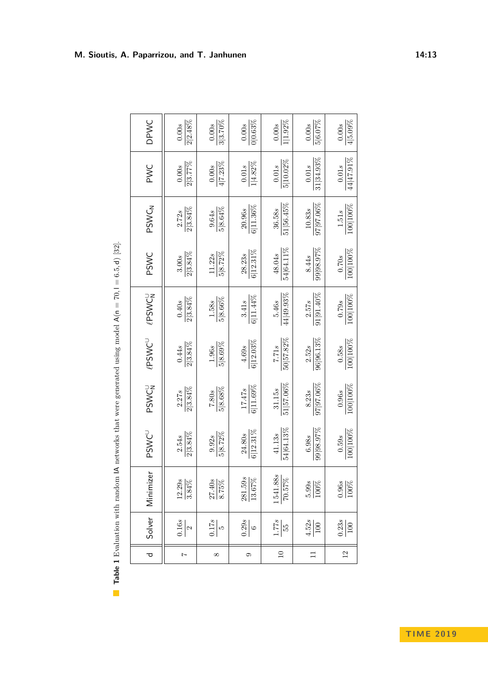| י                                 |
|-----------------------------------|
| j                                 |
| Î                                 |
| l                                 |
| $\ldots$ , $\ldots$ , $\ldots$    |
|                                   |
| $\mathbf{z} = 7$                  |
| $\frac{1}{\sqrt{2}}$              |
| ֧֦֧֦֧֦֧֦֧֦֧֦֧֦֧֦֧֦֧֦֧֦֧֦֧֦֧֦֧֦֧֦֝ |
|                                   |
|                                   |
|                                   |
| )                                 |
|                                   |
|                                   |
|                                   |
|                                   |
| į<br>j<br>j                       |
| ・くもく きくらくて くうくう                   |
|                                   |
| .<br>ו                            |
|                                   |
| j                                 |
|                                   |
|                                   |
| I                                 |
|                                   |
|                                   |
|                                   |
| $-2.5$                            |
|                                   |
|                                   |
|                                   |
|                                   |
| able 1 Evalua                     |
|                                   |
|                                   |
| l                                 |

 $\overline{\mathbb{R}}$ 

<span id="page-12-0"></span>

| DPWC                     | $2 2.48\%$<br>0.00s      | 3 3.70%<br>$0.00s$             | 0 0.63%<br>0.00s                 | $1 1.92\%$<br>0.00s        | 5 6.07%<br>0.00s       | $4 5.09\%$<br>0.00s   |
|--------------------------|--------------------------|--------------------------------|----------------------------------|----------------------------|------------------------|-----------------------|
| PWC                      | $\frac{0.00s}{2 3.77\%}$ | $\overline{4 7.23\%}$<br>0.00s | $1 4.82\%$<br>0.01s              | $5 10.02\%$<br>0.01s       | 31 34.93%<br>0.01s     | 44 47.91%<br>$0.01s$  |
| PSWCN                    | $\frac{2.72s}{2 3.84\%}$ | 58.64%<br>9.64s                | $6 11.36\%$<br>20.96s            | 51 56.45%<br>36.58s        | $97 97.06\%$<br>10.83s | 100 100%<br>1.51s     |
| PSWC                     | $\frac{3.00s}{2 3.84\%}$ | $5 8.72\%$<br>11.22s           | $6 12.31\%$<br>28.23s            | 54 64.11%<br>48.04s        | 39 98.97%<br>8.44s     | 100 100%<br>0.70s     |
| <b>PSWCN</b>             | $2 3.84\%$<br>0.40s      | 5 8.66%<br>$1.58s$             | $6 11.44\%$<br>3.41s             | $44 49.93\%$<br>5.46s      | $91 91.40\%$<br>2.57s  | 100 100%<br>0.79s     |
| $\ell\mathsf{PSWC}^\cup$ | 2 3.84%<br>0.44s         | 58.69%<br>1.96s                | $6 12.03\%$<br>4.69s             | 50 57.82%<br>7.71s         | 96 96.13%<br>2.52s     | 100 100%<br>0.58s     |
| PSWCN                    | 2 3.84%<br>2.27s         | $5 8.68\%$<br>7.80s            | $6 11.69\%$<br>17.47s            | $51 57.06\%$<br>31.15s     | $37$  97.06%<br>8.23s  | 100 100%<br>0.96s     |
| PSWCU                    | 2 3.84%<br>2.54s         | 5 8.72%<br>9.92s               | $6 12.31\%$<br>24.80s            | 54 64.13%<br>41.13s        | 99 98.97%<br>6.98s     | 100 100%<br>0.59s     |
| Minimizer                | $\frac{12.29s}{3.84\%}$  | $\frac{27.40s}{8.75\%}$        | $\frac{281.59s}{2}$<br>$13.67\%$ | $\frac{1541.88s}{70.57\%}$ | $\frac{5.99s}{100\%}$  | $\frac{0.96s}{100\%}$ |
| Solver                   | $\frac{0.16s}{2}$        | $\frac{6}{17s}$                | $\frac{0.29s}{6}$                | $\frac{1.77s}{55}$         | $\frac{4.52s}{100}$    | $\frac{0.23s}{100}$   |
| $\overline{\sigma}$      | $\overline{z}$           | $\infty$                       | $\circ$                          | $\overline{10}$            | $\Box$                 | $\overline{12}$       |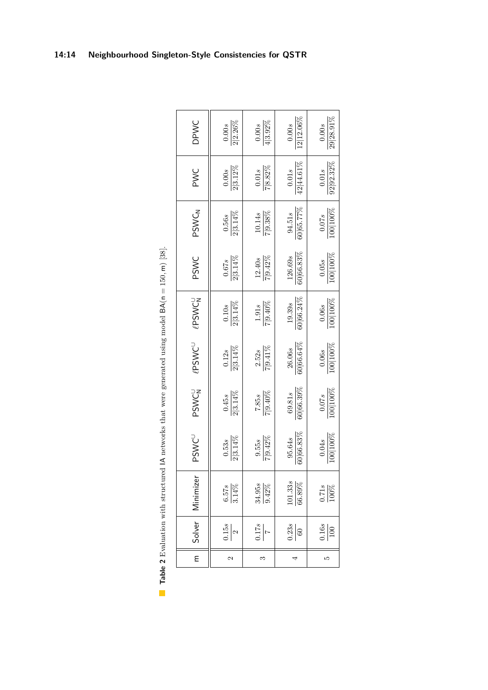<span id="page-13-0"></span>

| DPWC<br>PWC              |
|--------------------------|
| PSWCN                    |
| PSWC                     |
| <b>PSWCN</b>             |
| $\ell$ PSWC <sup>U</sup> |
| PSWCN                    |
| PSWCU                    |
| Solver   Minimizer       |
|                          |
| Ε                        |

**Table 2** Evaluation with structured IA networks that were generated using model  $BA(n = 150, m)$  [38]. **Table 2** Evaluation with structured IA networks that were generated using model BA(n = 150*,* m) [\[38\]](#page-16-19).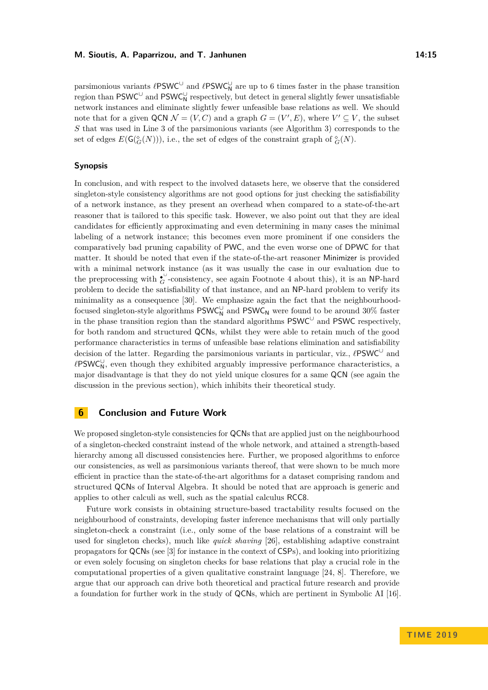parsimonious variants  $\ell$ PSWC<sup>∪</sup> and  $\ell$ PSWC<sub>N</sub><sup>∪</sup> are up to 6 times faster in the phase transition region than  $\mathsf{PSWC}^\cup$  and  $\mathsf{PSWC}_\mathsf{N}^\cup$  respectively, but detect in general slightly fewer unsatisfiable network instances and eliminate slightly fewer unfeasible base relations as well. We should note that for a given  $QCN \mathcal{N} = (V, C)$  and a graph  $G = (V', E)$ , where  $V' \subseteq V$ , the subset *S* that was used in Line 3 of the parsimonious variants (see Algorithm [3\)](#page-9-1) corresponds to the set of edges  $E(\mathsf{G}(\mathcal{C}_G(N))),$  i.e., the set of edges of the constraint graph of  $\mathcal{C}_G(N)$ .

#### **Synopsis**

In conclusion, and with respect to the involved datasets here, we observe that the considered singleton-style consistency algorithms are not good options for just checking the satisfiability of a network instance, as they present an overhead when compared to a state-of-the-art reasoner that is tailored to this specific task. However, we also point out that they are ideal candidates for efficiently approximating and even determining in many cases the minimal labeling of a network instance; this becomes even more prominent if one considers the comparatively bad pruning capability of PWC, and the even worse one of DPWC for that matter. It should be noted that even if the state-of-the-art reasoner Minimizer is provided with a minimal network instance (as it was usually the case in our evaluation due to the preprocessing with  $\mathfrak{c}^{\cup}$ -consistency, see again Footnote [4](#page-11-1) about this), it is an NP-hard problem to decide the satisfiability of that instance, and an NP-hard problem to verify its minimality as a consequence [\[30\]](#page-16-6). We emphasize again the fact that the neighbourhoodfocused singleton-style algorithms  $\mathsf{PSWC}_\mathsf{N}^\cup$  and  $\mathsf{PSWC}_\mathsf{N}$  were found to be around 30% faster in the phase transition region than the standard algorithms  $\mathsf{PSWC}^\cup$  and  $\mathsf{PSWC}$  respectively, for both random and structured QCNs, whilst they were able to retain much of the good performance characteristics in terms of unfeasible base relations elimination and satisfiability decision of the latter. Regarding the parsimonious variants in particular, viz.,  $\ell$ PSWC<sup>∪</sup> and  $\ell$ PSWC<sub>N</sub><sup>∪</sup>, even though they exhibited arguably impressive performance characteristics, a major disadvantage is that they do not yield unique closures for a same QCN (see again the discussion in the previous section), which inhibits their theoretical study.

## <span id="page-14-0"></span>**6 Conclusion and Future Work**

We proposed singleton-style consistencies for **QCNs** that are applied just on the neighbourhood of a singleton-checked constraint instead of the whole network, and attained a strength-based hierarchy among all discussed consistencies here. Further, we proposed algorithms to enforce our consistencies, as well as parsimonious variants thereof, that were shown to be much more efficient in practice than the state-of-the-art algorithms for a dataset comprising random and structured QCNs of Interval Algebra. It should be noted that are approach is generic and applies to other calculi as well, such as the spatial calculus RCC8.

Future work consists in obtaining structure-based tractability results focused on the neighbourhood of constraints, developing faster inference mechanisms that will only partially singleton-check a constraint (i.e., only some of the base relations of a constraint will be used for singleton checks), much like *quick shaving* [\[26\]](#page-16-23), establishing adaptive constraint propagators for QCNs (see [\[3\]](#page-15-21) for instance in the context of CSPs), and looking into prioritizing or even solely focusing on singleton checks for base relations that play a crucial role in the computational properties of a given qualitative constraint language [\[24,](#page-15-22) [8\]](#page-15-23). Therefore, we argue that our approach can drive both theoretical and practical future research and provide a foundation for further work in the study of QCNs, which are pertinent in Symbolic AI [\[16\]](#page-15-0).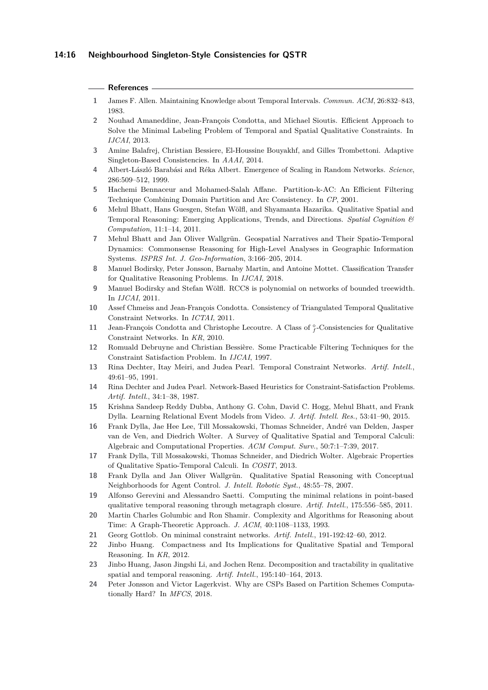#### **References**

- <span id="page-15-11"></span>**1** James F. Allen. Maintaining Knowledge about Temporal Intervals. *Commun. ACM*, 26:832–843, 1983.
- <span id="page-15-9"></span>**2** Nouhad Amaneddine, Jean-François Condotta, and Michael Sioutis. Efficient Approach to Solve the Minimal Labeling Problem of Temporal and Spatial Qualitative Constraints. In *IJCAI*, 2013.
- <span id="page-15-21"></span>**3** Amine Balafrej, Christian Bessiere, El-Houssine Bouyakhf, and Gilles Trombettoni. Adaptive Singleton-Based Consistencies. In *AAAI*, 2014.
- <span id="page-15-18"></span>**4** Albert-László Barabási and Réka Albert. Emergence of Scaling in Random Networks. *Science*, 286:509–512, 1999.
- <span id="page-15-16"></span>**5** Hachemi Bennaceur and Mohamed-Salah Affane. Partition-k-AC: An Efficient Filtering Technique Combining Domain Partition and Arc Consistency. In *CP*, 2001.
- <span id="page-15-4"></span>**6** Mehul Bhatt, Hans Guesgen, Stefan Wölfl, and Shyamanta Hazarika. Qualitative Spatial and Temporal Reasoning: Emerging Applications, Trends, and Directions. *Spatial Cognition & Computation*, 11:1–14, 2011.
- <span id="page-15-1"></span>**7** Mehul Bhatt and Jan Oliver Wallgrün. Geospatial Narratives and Their Spatio-Temporal Dynamics: Commonsense Reasoning for High-Level Analyses in Geographic Information Systems. *ISPRS Int. J. Geo-Information*, 3:166–205, 2014.
- <span id="page-15-23"></span>**8** Manuel Bodirsky, Peter Jonsson, Barnaby Martin, and Antoine Mottet. Classification Transfer for Qualitative Reasoning Problems. In *IJCAI*, 2018.
- <span id="page-15-17"></span>**9** Manuel Bodirsky and Stefan Wölfl. RCC8 is polynomial on networks of bounded treewidth. In *IJCAI*, 2011.
- <span id="page-15-10"></span>**10** Assef Chmeiss and Jean-François Condotta. Consistency of Triangulated Temporal Qualitative Constraint Networks. In *ICTAI*, 2011.
- <span id="page-15-14"></span>11 Jean-François Condotta and Christophe Lecoutre. A Class of  $\frac{\circ}{f}$ -Consistencies for Qualitative Constraint Networks. In *KR*, 2010.
- <span id="page-15-15"></span>**12** Romuald Debruyne and Christian Bessière. Some Practicable Filtering Techniques for the Constraint Satisfaction Problem. In *IJCAI*, 1997.
- <span id="page-15-13"></span>**13** Rina Dechter, Itay Meiri, and Judea Pearl. Temporal Constraint Networks. *Artif. Intell.*, 49:61–95, 1991.
- <span id="page-15-12"></span>**14** Rina Dechter and Judea Pearl. Network-Based Heuristics for Constraint-Satisfaction Problems. *Artif. Intell.*, 34:1–38, 1987.
- <span id="page-15-3"></span>**15** Krishna Sandeep Reddy Dubba, Anthony G. Cohn, David C. Hogg, Mehul Bhatt, and Frank Dylla. Learning Relational Event Models from Video. *J. Artif. Intell. Res.*, 53:41–90, 2015.
- <span id="page-15-0"></span>**16** Frank Dylla, Jae Hee Lee, Till Mossakowski, Thomas Schneider, André van Delden, Jasper van de Ven, and Diedrich Wolter. A Survey of Qualitative Spatial and Temporal Calculi: Algebraic and Computational Properties. *ACM Comput. Surv.*, 50:7:1–7:39, 2017.
- <span id="page-15-5"></span>**17** Frank Dylla, Till Mossakowski, Thomas Schneider, and Diedrich Wolter. Algebraic Properties of Qualitative Spatio-Temporal Calculi. In *COSIT*, 2013.
- <span id="page-15-2"></span>**18** Frank Dylla and Jan Oliver Wallgrün. Qualitative Spatial Reasoning with Conceptual Neighborhoods for Agent Control. *J. Intell. Robotic Syst.*, 48:55–78, 2007.
- <span id="page-15-8"></span>**19** Alfonso Gerevini and Alessandro Saetti. Computing the minimal relations in point-based qualitative temporal reasoning through metagraph closure. *Artif. Intell.*, 175:556–585, 2011.
- <span id="page-15-6"></span>**20** Martin Charles Golumbic and Ron Shamir. Complexity and Algorithms for Reasoning about Time: A Graph-Theoretic Approach. *J. ACM*, 40:1108–1133, 1993.
- <span id="page-15-7"></span>**21** Georg Gottlob. On minimal constraint networks. *Artif. Intell.*, 191-192:42–60, 2012.
- <span id="page-15-20"></span>**22** Jinbo Huang. Compactness and Its Implications for Qualitative Spatial and Temporal Reasoning. In *KR*, 2012.
- <span id="page-15-19"></span>**23** Jinbo Huang, Jason Jingshi Li, and Jochen Renz. Decomposition and tractability in qualitative spatial and temporal reasoning. *Artif. Intell.*, 195:140–164, 2013.
- <span id="page-15-22"></span>**24** Peter Jonsson and Victor Lagerkvist. Why are CSPs Based on Partition Schemes Computationally Hard? In *MFCS*, 2018.